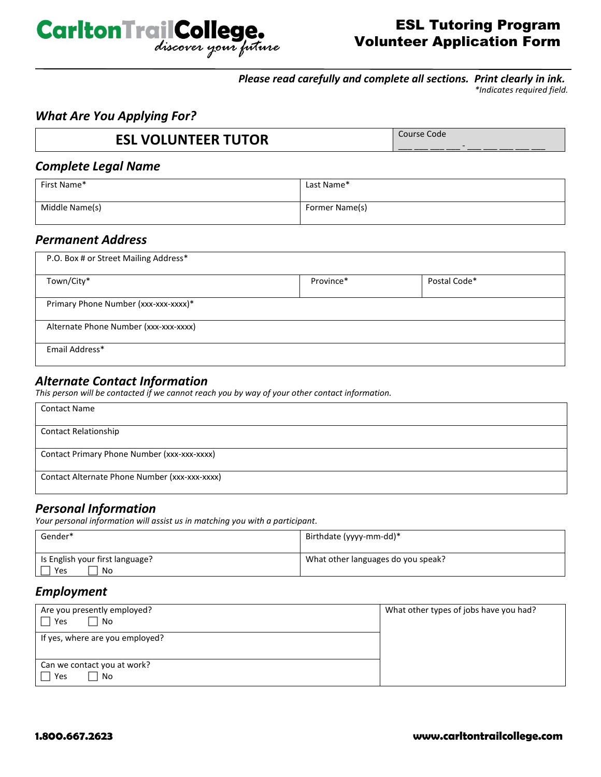

## ESL Tutoring Program Volunteer Application Form

*Please read carefully and complete all sections. Print clearly in ink. \*Indicates required field.*

## *What Are You Applying For?*

| <b>ESL VOLUNTEER TUTOR</b> | Course Code |
|----------------------------|-------------|
|                            |             |

#### *Complete Legal Name*

| First Name*    | Last Name*     |
|----------------|----------------|
| Middle Name(s) | Former Name(s) |

#### *Permanent Address*

| P.O. Box # or Street Mailing Address* |           |              |
|---------------------------------------|-----------|--------------|
| Town/City*                            | Province* | Postal Code* |
| Primary Phone Number (xxx-xxx-xxxx)*  |           |              |
| Alternate Phone Number (xxx-xxx-xxxx) |           |              |
| Email Address*                        |           |              |

## *Alternate Contact Information*

*This person will be contacted if we cannot reach you by way of your other contact information.*

| <b>Contact Name</b>                           |  |
|-----------------------------------------------|--|
|                                               |  |
| <b>Contact Relationship</b>                   |  |
|                                               |  |
| Contact Primary Phone Number (xxx-xxx-xxxx)   |  |
|                                               |  |
| Contact Alternate Phone Number (xxx-xxx-xxxx) |  |
|                                               |  |

## *Personal Information*

*Your personal information will assist us in matching you with a participant.*

| Gender*                                      | Birthdate (yyyy-mm-dd)*            |
|----------------------------------------------|------------------------------------|
| Is English your first language?<br>Yes<br>No | What other languages do you speak? |

#### *Employment*

| Are you presently employed?     | What other types of jobs have you had? |
|---------------------------------|----------------------------------------|
| No.<br>Yes                      |                                        |
| If yes, where are you employed? |                                        |
|                                 |                                        |
| Can we contact you at work?     |                                        |
| Yes<br>No                       |                                        |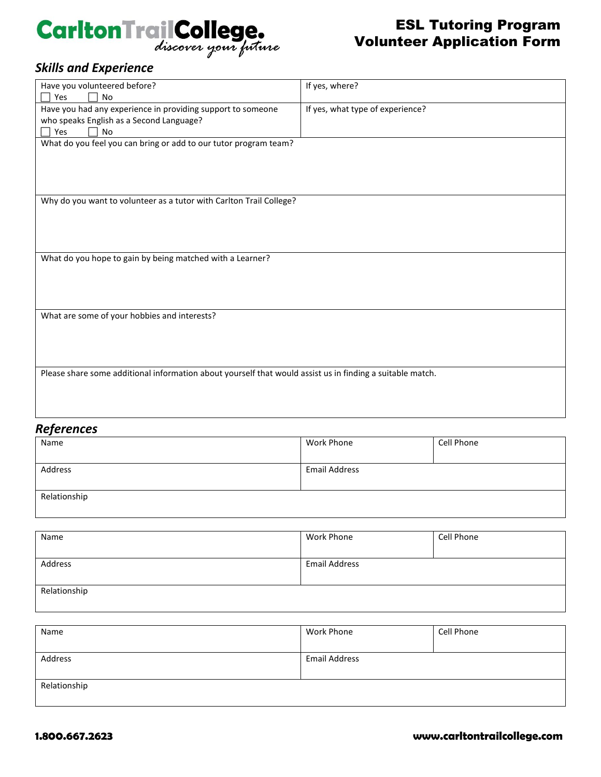# **CarltonTrailCollege.**

## ESL Tutoring Program Volunteer Application Form

## *Skills and Experience*

| Have you volunteered before?                                                                              | If yes, where?                   |  |
|-----------------------------------------------------------------------------------------------------------|----------------------------------|--|
| Yes<br>No                                                                                                 |                                  |  |
| Have you had any experience in providing support to someone                                               | If yes, what type of experience? |  |
| who speaks English as a Second Language?                                                                  |                                  |  |
| Yes<br><b>No</b>                                                                                          |                                  |  |
| What do you feel you can bring or add to our tutor program team?                                          |                                  |  |
|                                                                                                           |                                  |  |
|                                                                                                           |                                  |  |
|                                                                                                           |                                  |  |
|                                                                                                           |                                  |  |
| Why do you want to volunteer as a tutor with Carlton Trail College?                                       |                                  |  |
|                                                                                                           |                                  |  |
|                                                                                                           |                                  |  |
|                                                                                                           |                                  |  |
|                                                                                                           |                                  |  |
| What do you hope to gain by being matched with a Learner?                                                 |                                  |  |
|                                                                                                           |                                  |  |
|                                                                                                           |                                  |  |
|                                                                                                           |                                  |  |
| What are some of your hobbies and interests?                                                              |                                  |  |
|                                                                                                           |                                  |  |
|                                                                                                           |                                  |  |
|                                                                                                           |                                  |  |
|                                                                                                           |                                  |  |
| Please share some additional information about yourself that would assist us in finding a suitable match. |                                  |  |
|                                                                                                           |                                  |  |
|                                                                                                           |                                  |  |
|                                                                                                           |                                  |  |
|                                                                                                           |                                  |  |

## *References*

| Name         | Work Phone           | Cell Phone |
|--------------|----------------------|------------|
| Address      | <b>Email Address</b> |            |
| Relationship |                      |            |

| Name         | <b>Work Phone</b>    | Cell Phone |
|--------------|----------------------|------------|
|              |                      |            |
| Address      | <b>Email Address</b> |            |
|              |                      |            |
| Relationship |                      |            |
|              |                      |            |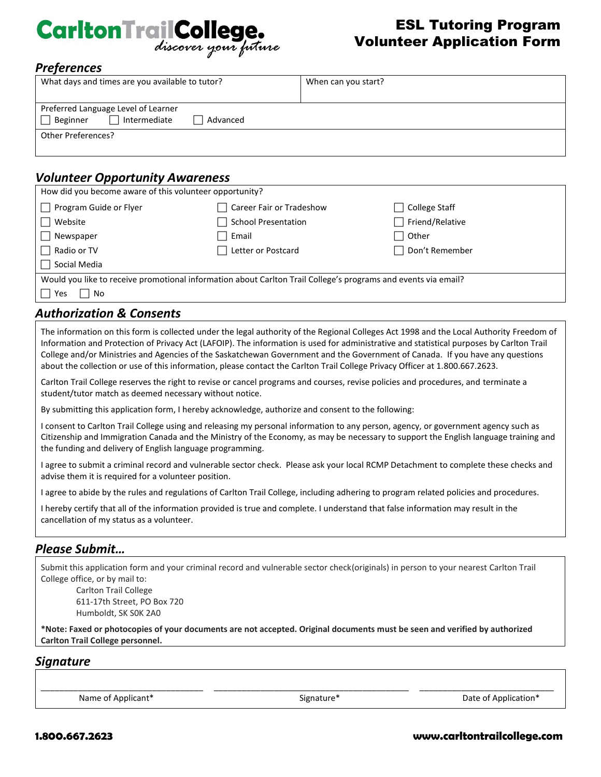

## ESL Tutoring Program Volunteer Application Form

## *Preferences*

| What days and times are you available to tutor?                             | When can you start? |
|-----------------------------------------------------------------------------|---------------------|
| Preferred Language Level of Learner<br>Intermediate<br>Beginner<br>Advanced |                     |
| Other Preferences?                                                          |                     |

## *Volunteer Opportunity Awareness*

| How did you become aware of this volunteer opportunity?                                                        |                            |                      |  |
|----------------------------------------------------------------------------------------------------------------|----------------------------|----------------------|--|
| Program Guide or Flyer<br>$\perp$                                                                              | Career Fair or Tradeshow   | <b>College Staff</b> |  |
| Website<br>$\vert \ \ \vert$                                                                                   | <b>School Presentation</b> | Friend/Relative      |  |
| Newspaper                                                                                                      | Email                      | Other                |  |
| Radio or TV<br>$\perp$                                                                                         | Letter or Postcard         | Don't Remember       |  |
| Social Media<br>$\Box$                                                                                         |                            |                      |  |
| Would you like to receive promotional information about Carlton Trail College's programs and events via email? |                            |                      |  |
| No<br>Yes                                                                                                      |                            |                      |  |

## *Authorization & Consents*

The information on this form is collected under the legal authority of the Regional Colleges Act 1998 and the Local Authority Freedom of Information and Protection of Privacy Act (LAFOIP). The information is used for administrative and statistical purposes by Carlton Trail College and/or Ministries and Agencies of the Saskatchewan Government and the Government of Canada. If you have any questions about the collection or use of this information, please contact the Carlton Trail College Privacy Officer at 1.800.667.2623.

Carlton Trail College reserves the right to revise or cancel programs and courses, revise policies and procedures, and terminate a student/tutor match as deemed necessary without notice.

By submitting this application form, I hereby acknowledge, authorize and consent to the following:

I consent to Carlton Trail College using and releasing my personal information to any person, agency, or government agency such as Citizenship and Immigration Canada and the Ministry of the Economy, as may be necessary to support the English language training and the funding and delivery of English language programming.

I agree to submit a criminal record and vulnerable sector check. Please ask your local RCMP Detachment to complete these checks and advise them it is required for a volunteer position.

I agree to abide by the rules and regulations of Carlton Trail College, including adhering to program related policies and procedures.

I hereby certify that all of the information provided is true and complete. I understand that false information may result in the cancellation of my status as a volunteer.

## *Please Submit…*

Submit this application form and your criminal record and vulnerable sector check(originals) in person to your nearest Carlton Trail College office, or by mail to:

Carlton Trail College 611-17th Street, PO Box 720 Humboldt, SK S0K 2A0

**\*Note: Faxed or photocopies of your documents are not accepted. Original documents must be seen and verified by authorized Carlton Trail College personnel.**

\_\_\_\_\_\_\_\_\_\_\_\_\_\_\_\_\_\_\_\_\_\_\_\_\_\_\_\_\_\_\_\_\_\_\_ \_\_\_\_\_\_\_\_\_\_\_\_\_\_\_\_\_\_\_\_\_\_\_\_\_\_\_\_\_\_\_\_\_\_\_\_\_\_\_\_\_\_ \_\_\_\_\_\_\_\_\_\_\_\_\_\_\_\_\_\_\_\_\_\_\_\_\_\_\_\_\_

#### *Signature*

Name of Applicant\* The Community of Applicant and Signature\* The Signature of Application and Date of Application and Date of Application and Date of Application and Date of Application and Date of Application and Date of